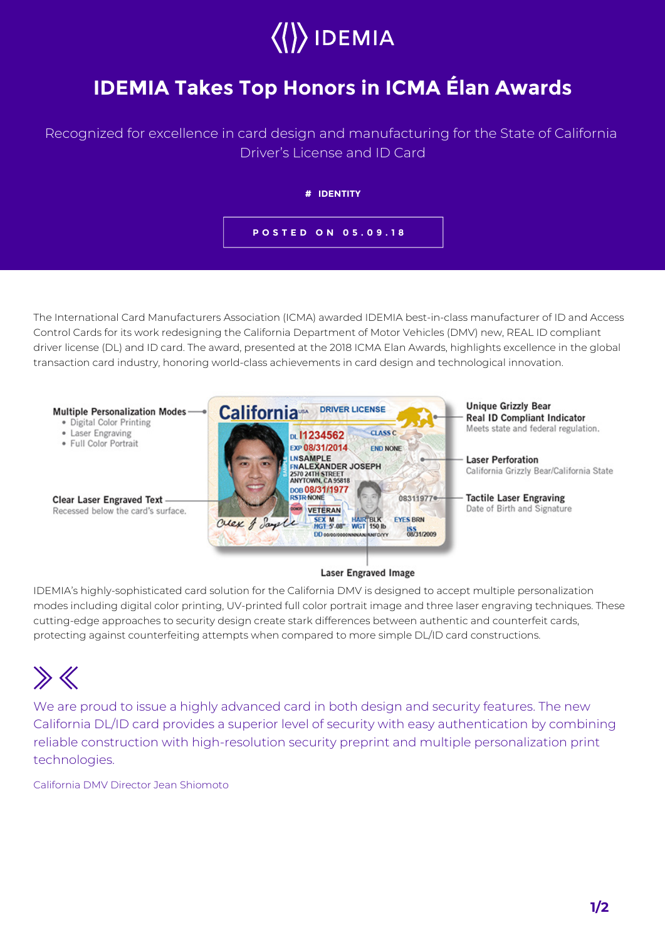# $\rangle$  IDEMIA

### **IDEMIA Takes Top Honors in ICMA Élan Awards**

### Recognized for excellence in card design and manufacturing for the State of California Driver's License and ID Card



The International Card Manufacturers Association (ICMA) awarded IDEMIA best-in-class manufacturer of ID and Access Control Cards for its work redesigning the California Department of Motor Vehicles (DMV) new, REAL ID compliant driver license (DL) and ID card. The award, presented at the 2018 ICMA Elan Awards, highlights excellence in the global transaction card industry, honoring world-class achievements in card design and technological innovation.



#### **Laser Engraved Image**

IDEMIA's highly-sophisticated card solution for the California DMV is designed to accept multiple personalization modes including digital color printing, UV-printed full color portrait image and three laser engraving techniques. These cutting-edge approaches to security design create stark differences between authentic and counterfeit cards, protecting against counterfeiting attempts when compared to more simple DL/ID card constructions.

## $\gg K$

We are proud to issue a highly advanced card in both design and security features. The new California DL/ID card provides a superior level of security with easy authentication by combining reliable construction with high-resolution security preprint and multiple personalization print technologies.

California DMV Director Jean Shiomoto